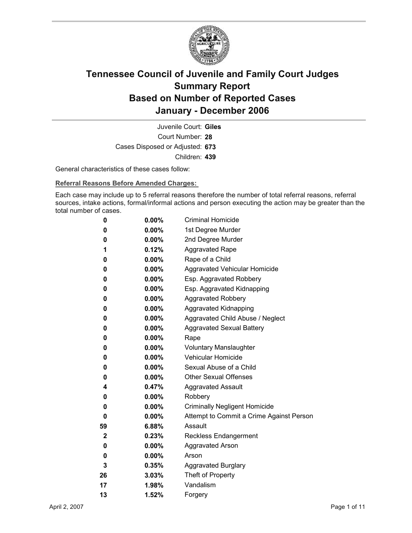

Court Number: **28** Juvenile Court: **Giles** Cases Disposed or Adjusted: **673** Children: **439**

General characteristics of these cases follow:

**Referral Reasons Before Amended Charges:** 

Each case may include up to 5 referral reasons therefore the number of total referral reasons, referral sources, intake actions, formal/informal actions and person executing the action may be greater than the total number of cases.

| 0           | $0.00\%$ | <b>Criminal Homicide</b>                 |
|-------------|----------|------------------------------------------|
| 0           | $0.00\%$ | 1st Degree Murder                        |
| 0           | $0.00\%$ | 2nd Degree Murder                        |
| 1           | 0.12%    | <b>Aggravated Rape</b>                   |
| 0           | $0.00\%$ | Rape of a Child                          |
| 0           | $0.00\%$ | Aggravated Vehicular Homicide            |
| 0           | $0.00\%$ | Esp. Aggravated Robbery                  |
| 0           | $0.00\%$ | Esp. Aggravated Kidnapping               |
| 0           | $0.00\%$ | <b>Aggravated Robbery</b>                |
| 0           | $0.00\%$ | <b>Aggravated Kidnapping</b>             |
| 0           | $0.00\%$ | Aggravated Child Abuse / Neglect         |
| 0           | $0.00\%$ | <b>Aggravated Sexual Battery</b>         |
| 0           | $0.00\%$ | Rape                                     |
| 0           | $0.00\%$ | <b>Voluntary Manslaughter</b>            |
| 0           | $0.00\%$ | <b>Vehicular Homicide</b>                |
| 0           | $0.00\%$ | Sexual Abuse of a Child                  |
| 0           | $0.00\%$ | <b>Other Sexual Offenses</b>             |
| 4           | $0.47\%$ | <b>Aggravated Assault</b>                |
| 0           | $0.00\%$ | Robbery                                  |
| 0           | $0.00\%$ | <b>Criminally Negligent Homicide</b>     |
| 0           | $0.00\%$ | Attempt to Commit a Crime Against Person |
| 59          | 6.88%    | Assault                                  |
| $\mathbf 2$ | $0.23\%$ | <b>Reckless Endangerment</b>             |
| 0           | $0.00\%$ | <b>Aggravated Arson</b>                  |
| 0           | $0.00\%$ | Arson                                    |
| 3           | 0.35%    | <b>Aggravated Burglary</b>               |
| 26          | $3.03\%$ | Theft of Property                        |
| 17          | 1.98%    | Vandalism                                |
| 13          | 1.52%    | Forgery                                  |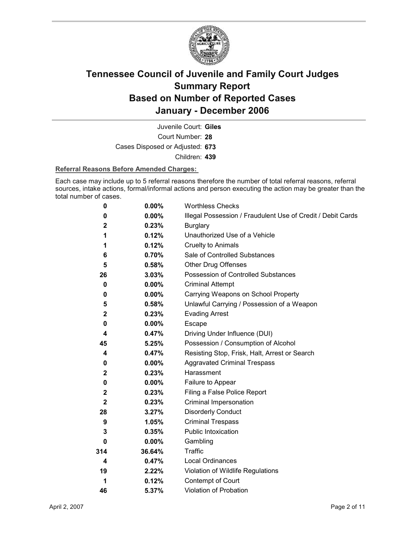

Court Number: **28** Juvenile Court: **Giles** Cases Disposed or Adjusted: **673** Children: **439**

#### **Referral Reasons Before Amended Charges:**

Each case may include up to 5 referral reasons therefore the number of total referral reasons, referral sources, intake actions, formal/informal actions and person executing the action may be greater than the total number of cases.

| 0                | 0.00%    | <b>Worthless Checks</b>                                     |
|------------------|----------|-------------------------------------------------------------|
| 0                | 0.00%    | Illegal Possession / Fraudulent Use of Credit / Debit Cards |
| $\mathbf{2}$     | 0.23%    | <b>Burglary</b>                                             |
| 1                | 0.12%    | Unauthorized Use of a Vehicle                               |
| 1                | 0.12%    | <b>Cruelty to Animals</b>                                   |
| 6                | $0.70\%$ | Sale of Controlled Substances                               |
| 5                | 0.58%    | <b>Other Drug Offenses</b>                                  |
| 26               | 3.03%    | Possession of Controlled Substances                         |
| 0                | 0.00%    | <b>Criminal Attempt</b>                                     |
| 0                | $0.00\%$ | Carrying Weapons on School Property                         |
| 5                | 0.58%    | Unlawful Carrying / Possession of a Weapon                  |
| $\mathbf{2}$     | 0.23%    | <b>Evading Arrest</b>                                       |
| 0                | 0.00%    | Escape                                                      |
| 4                | 0.47%    | Driving Under Influence (DUI)                               |
| 45               | 5.25%    | Possession / Consumption of Alcohol                         |
| 4                | 0.47%    | Resisting Stop, Frisk, Halt, Arrest or Search               |
| 0                | $0.00\%$ | <b>Aggravated Criminal Trespass</b>                         |
| $\mathbf{2}$     | 0.23%    | Harassment                                                  |
| 0                | $0.00\%$ | Failure to Appear                                           |
| $\boldsymbol{2}$ | 0.23%    | Filing a False Police Report                                |
| $\mathbf{2}$     | 0.23%    | Criminal Impersonation                                      |
| 28               | 3.27%    | <b>Disorderly Conduct</b>                                   |
| 9                | 1.05%    | <b>Criminal Trespass</b>                                    |
| 3                | 0.35%    | <b>Public Intoxication</b>                                  |
| 0                | $0.00\%$ | Gambling                                                    |
| 314              | 36.64%   | <b>Traffic</b>                                              |
| 4                | 0.47%    | Local Ordinances                                            |
| 19               | 2.22%    | Violation of Wildlife Regulations                           |
| 1                | 0.12%    | Contempt of Court                                           |
| 46               | 5.37%    | <b>Violation of Probation</b>                               |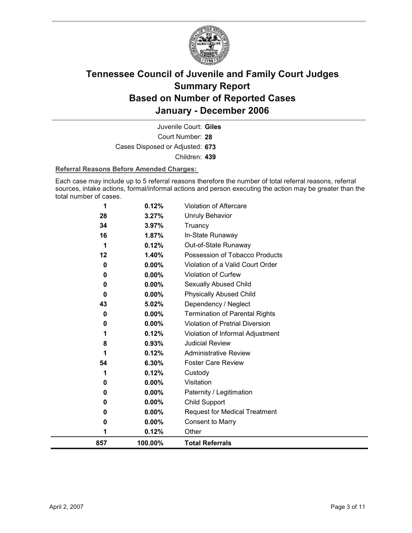

Court Number: **28** Juvenile Court: **Giles** Cases Disposed or Adjusted: **673** Children: **439**

#### **Referral Reasons Before Amended Charges:**

Each case may include up to 5 referral reasons therefore the number of total referral reasons, referral sources, intake actions, formal/informal actions and person executing the action may be greater than the total number of cases.

| 857         | 100.00%        | <b>Total Referrals</b>                   |
|-------------|----------------|------------------------------------------|
| 1           | 0.12%          | Other                                    |
| 0           | 0.00%          | <b>Consent to Marry</b>                  |
| 0           | $0.00\%$       | <b>Request for Medical Treatment</b>     |
| 0           | 0.00%          | <b>Child Support</b>                     |
| 0           | 0.00%          | Paternity / Legitimation                 |
| 0           | $0.00\%$       | Visitation                               |
| 1           | 0.12%          | Custody                                  |
| 54          | 6.30%          | <b>Foster Care Review</b>                |
| 1           | 0.12%          | <b>Administrative Review</b>             |
| 8           | 0.93%          | <b>Judicial Review</b>                   |
| 1           | 0.12%          | Violation of Informal Adjustment         |
| 0           | 0.00%          | <b>Violation of Pretrial Diversion</b>   |
| 0           | 0.00%          | <b>Termination of Parental Rights</b>    |
| 43          | 5.02%          | Dependency / Neglect                     |
| $\mathbf 0$ | $0.00\%$       | <b>Physically Abused Child</b>           |
| 0           | 0.00%          | Sexually Abused Child                    |
| 0           | 0.00%          | Violation of Curfew                      |
| 0           | 0.00%          | Violation of a Valid Court Order         |
| 1<br>12     | 1.40%          | Possession of Tobacco Products           |
| 16          | 1.87%<br>0.12% | In-State Runaway<br>Out-of-State Runaway |
| 34          | 3.97%          | Truancy                                  |
| 28          | 3.27%          | <b>Unruly Behavior</b>                   |
| 1           | 0.12%          | Violation of Aftercare                   |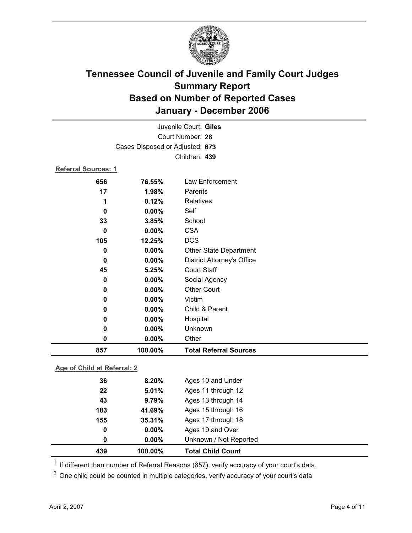

| 857                                                 | 100.00% | <b>Total Referral Sources</b>     |  |  |
|-----------------------------------------------------|---------|-----------------------------------|--|--|
| 0                                                   | 0.00%   | Other                             |  |  |
| 0                                                   | 0.00%   | Unknown                           |  |  |
| 0                                                   | 0.00%   | Hospital                          |  |  |
| 0                                                   | 0.00%   | Child & Parent                    |  |  |
| 0                                                   | 0.00%   | Victim                            |  |  |
| 0                                                   | 0.00%   | <b>Other Court</b>                |  |  |
| 0                                                   | 0.00%   | Social Agency                     |  |  |
| 45                                                  | 5.25%   | <b>Court Staff</b>                |  |  |
| 0                                                   | 0.00%   | <b>District Attorney's Office</b> |  |  |
| 0                                                   | 0.00%   | <b>Other State Department</b>     |  |  |
| 105                                                 | 12.25%  | <b>DCS</b>                        |  |  |
| 0                                                   | 0.00%   | <b>CSA</b>                        |  |  |
| 33                                                  | 3.85%   | School                            |  |  |
| 0                                                   | 0.00%   | Self                              |  |  |
| 1                                                   | 0.12%   | <b>Relatives</b>                  |  |  |
| 17                                                  | 1.98%   | Parents                           |  |  |
| 656                                                 | 76.55%  | Law Enforcement                   |  |  |
| Referral Sources: 1                                 |         |                                   |  |  |
|                                                     |         | Children: 439                     |  |  |
|                                                     |         |                                   |  |  |
| Court Number: 28<br>Cases Disposed or Adjusted: 673 |         |                                   |  |  |
|                                                     |         |                                   |  |  |
|                                                     |         | Juvenile Court: Giles             |  |  |

**Age of Child at Referral: 2**

| 439 | 100.00%       | <b>Total Child Count</b> |
|-----|---------------|--------------------------|
|     | $0.00\%$<br>0 | Unknown / Not Reported   |
|     | $0.00\%$<br>0 | Ages 19 and Over         |
| 155 | 35.31%        | Ages 17 through 18       |
| 183 | 41.69%        | Ages 15 through 16       |
| 43  | 9.79%         | Ages 13 through 14       |
|     | 22<br>5.01%   | Ages 11 through 12       |
|     | 36<br>8.20%   | Ages 10 and Under        |
|     |               |                          |

<sup>1</sup> If different than number of Referral Reasons (857), verify accuracy of your court's data.

<sup>2</sup> One child could be counted in multiple categories, verify accuracy of your court's data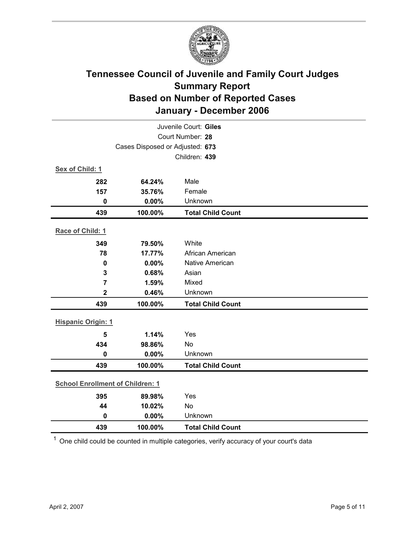

| Juvenile Court: Giles                   |                                 |                          |  |  |
|-----------------------------------------|---------------------------------|--------------------------|--|--|
| Court Number: 28                        |                                 |                          |  |  |
|                                         | Cases Disposed or Adjusted: 673 |                          |  |  |
|                                         |                                 | Children: 439            |  |  |
| Sex of Child: 1                         |                                 |                          |  |  |
| 282                                     | 64.24%                          | Male                     |  |  |
| 157                                     | 35.76%                          | Female                   |  |  |
| $\mathbf 0$                             | 0.00%                           | Unknown                  |  |  |
| 439                                     | 100.00%                         | <b>Total Child Count</b> |  |  |
| Race of Child: 1                        |                                 |                          |  |  |
| 349                                     | 79.50%                          | White                    |  |  |
| 78                                      | 17.77%                          | African American         |  |  |
| $\mathbf 0$                             | 0.00%                           | <b>Native American</b>   |  |  |
| 3                                       | 0.68%                           | Asian                    |  |  |
| $\overline{7}$                          | 1.59%                           | Mixed                    |  |  |
| $\overline{\mathbf{2}}$                 | 0.46%                           | Unknown                  |  |  |
| 439                                     | 100.00%                         | <b>Total Child Count</b> |  |  |
| <b>Hispanic Origin: 1</b>               |                                 |                          |  |  |
| 5                                       | 1.14%                           | Yes                      |  |  |
| 434                                     | 98.86%                          | <b>No</b>                |  |  |
| $\mathbf 0$                             | 0.00%                           | Unknown                  |  |  |
| 439                                     | 100.00%                         | <b>Total Child Count</b> |  |  |
| <b>School Enrollment of Children: 1</b> |                                 |                          |  |  |
|                                         |                                 |                          |  |  |
| 395                                     | 89.98%                          | Yes                      |  |  |
| 44<br>$\mathbf 0$                       | 10.02%                          | No<br>Unknown            |  |  |
|                                         | 0.00%                           |                          |  |  |
| 439                                     | 100.00%                         | <b>Total Child Count</b> |  |  |

 $1$  One child could be counted in multiple categories, verify accuracy of your court's data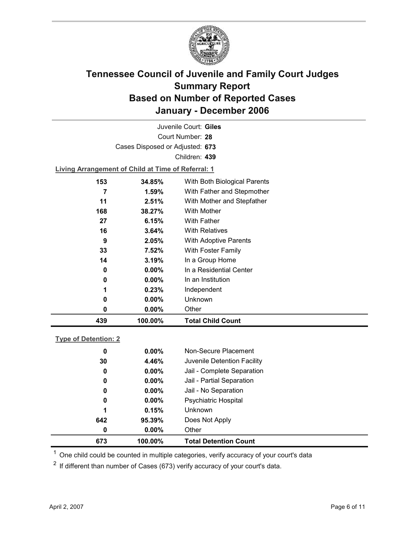

Court Number: **28** Juvenile Court: **Giles** Cases Disposed or Adjusted: **673** Children: **439 Living Arrangement of Child at Time of Referral: 1**

| 0<br>0<br>1<br>0<br>0 | $0.00\%$<br>$0.00\%$<br>0.23%<br>$0.00\%$<br>$0.00\%$ | In a Residential Center<br>In an Institution<br>Independent<br><b>Unknown</b><br>Other |
|-----------------------|-------------------------------------------------------|----------------------------------------------------------------------------------------|
|                       |                                                       |                                                                                        |
|                       |                                                       |                                                                                        |
|                       |                                                       |                                                                                        |
|                       |                                                       |                                                                                        |
|                       |                                                       |                                                                                        |
| 14                    | 3.19%                                                 | In a Group Home                                                                        |
| 33                    | 7.52%                                                 | With Foster Family                                                                     |
| 9                     | 2.05%                                                 | <b>With Adoptive Parents</b>                                                           |
| 16                    | 3.64%                                                 | <b>With Relatives</b>                                                                  |
| 27                    | 6.15%                                                 | <b>With Father</b>                                                                     |
| 168                   | 38.27%                                                | <b>With Mother</b>                                                                     |
| 11                    | 2.51%                                                 | With Mother and Stepfather                                                             |
|                       | 1.59%                                                 | With Father and Stepmother                                                             |
| 153                   | 34.85%                                                | With Both Biological Parents                                                           |
|                       |                                                       |                                                                                        |

|  | Tvpe of Detention: 2 |  |
|--|----------------------|--|
|  |                      |  |

| 673 | 100.00%  | <b>Total Detention Count</b> |
|-----|----------|------------------------------|
| 0   | $0.00\%$ | Other                        |
| 642 | 95.39%   | Does Not Apply               |
| 1   | 0.15%    | <b>Unknown</b>               |
| 0   | $0.00\%$ | <b>Psychiatric Hospital</b>  |
| 0   | $0.00\%$ | Jail - No Separation         |
| 0   | $0.00\%$ | Jail - Partial Separation    |
| 0   | $0.00\%$ | Jail - Complete Separation   |
| 30  | 4.46%    | Juvenile Detention Facility  |
| 0   | $0.00\%$ | Non-Secure Placement         |
|     |          |                              |

 $<sup>1</sup>$  One child could be counted in multiple categories, verify accuracy of your court's data</sup>

 $2$  If different than number of Cases (673) verify accuracy of your court's data.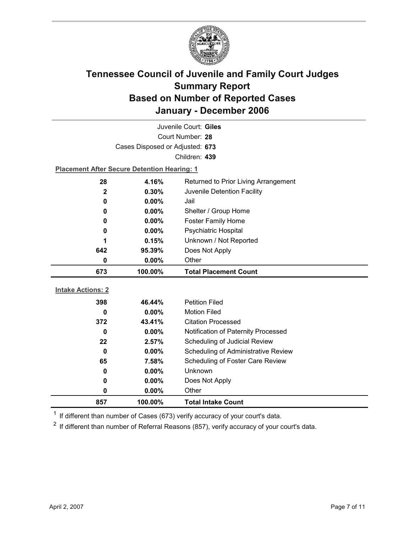

| Juvenile Court: Giles           |                                                    |                                            |  |  |
|---------------------------------|----------------------------------------------------|--------------------------------------------|--|--|
| Court Number: 28                |                                                    |                                            |  |  |
| Cases Disposed or Adjusted: 673 |                                                    |                                            |  |  |
|                                 |                                                    | Children: 439                              |  |  |
|                                 | <b>Placement After Secure Detention Hearing: 1</b> |                                            |  |  |
| 28                              | 4.16%                                              | Returned to Prior Living Arrangement       |  |  |
| $\mathbf{2}$                    | 0.30%                                              | Juvenile Detention Facility                |  |  |
| 0                               | 0.00%                                              | Jail                                       |  |  |
| 0                               | 0.00%                                              | Shelter / Group Home                       |  |  |
| 0                               | $0.00\%$                                           | <b>Foster Family Home</b>                  |  |  |
| 0                               | 0.00%                                              | Psychiatric Hospital                       |  |  |
| 1                               | 0.15%                                              | Unknown / Not Reported                     |  |  |
| 642                             | 95.39%                                             | Does Not Apply                             |  |  |
| 0                               | 0.00%                                              | Other                                      |  |  |
| 673                             | 100.00%                                            | <b>Total Placement Count</b>               |  |  |
| <b>Intake Actions: 2</b>        |                                                    |                                            |  |  |
| 398                             |                                                    | <b>Petition Filed</b>                      |  |  |
| 0                               | 46.44%<br>$0.00\%$                                 | <b>Motion Filed</b>                        |  |  |
| 372                             | 43.41%                                             | <b>Citation Processed</b>                  |  |  |
| $\bf{0}$                        | 0.00%                                              | Notification of Paternity Processed        |  |  |
|                                 |                                                    |                                            |  |  |
|                                 |                                                    |                                            |  |  |
| 22                              | 2.57%                                              | Scheduling of Judicial Review              |  |  |
| $\bf{0}$                        | $0.00\%$                                           | <b>Scheduling of Administrative Review</b> |  |  |
| 65                              | 7.58%                                              | Scheduling of Foster Care Review           |  |  |
| 0                               | 0.00%                                              | <b>Unknown</b>                             |  |  |
| 0<br>$\mathbf 0$                | 0.00%<br>0.00%                                     | Does Not Apply<br>Other                    |  |  |

 $1$  If different than number of Cases (673) verify accuracy of your court's data.

 $2$  If different than number of Referral Reasons (857), verify accuracy of your court's data.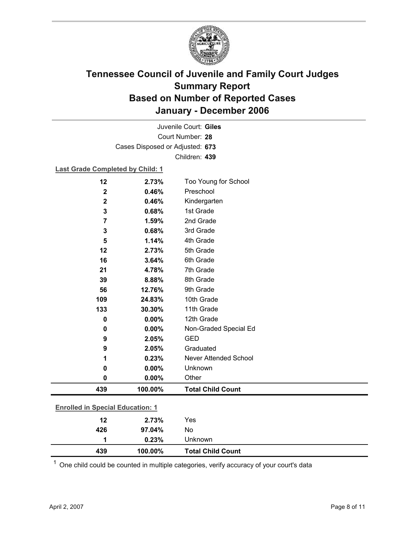

Court Number: **28** Juvenile Court: **Giles** Cases Disposed or Adjusted: **673** Children: **439**

#### **Last Grade Completed by Child: 1**

| 426                                     | 97.04%         | No                       |
|-----------------------------------------|----------------|--------------------------|
| 12                                      | 2.73%          | Yes                      |
| <b>Enrolled in Special Education: 1</b> |                |                          |
| 439                                     | 100.00%        | <b>Total Child Count</b> |
| 0                                       | 0.00%          | Other                    |
| 0                                       | 0.00%          | Unknown                  |
| 1                                       | 0.23%          | Never Attended School    |
| 9                                       | 2.05%          | Graduated                |
| 9                                       | 2.05%          | <b>GED</b>               |
| 0                                       | 0.00%          | Non-Graded Special Ed    |
| 0                                       | 0.00%          | 12th Grade               |
| 133                                     | 30.30%         | 11th Grade               |
| 109                                     | 24.83%         | 10th Grade               |
| 56                                      | 12.76%         | 9th Grade                |
| 39                                      | 8.88%          | 8th Grade                |
| 21                                      | 4.78%          | 7th Grade                |
| 16                                      | 3.64%          | 6th Grade                |
| 12                                      | 2.73%          | 5th Grade                |
| 5                                       | 1.14%          | 4th Grade                |
| 3                                       | 0.68%          | 3rd Grade                |
| $\overline{\mathbf{7}}$                 | 1.59%          | 2nd Grade                |
| 3                                       | 0.68%          | 1st Grade                |
| $\mathbf 2$<br>$\mathbf 2$              | 0.46%<br>0.46% | Kindergarten             |
|                                         |                | Preschool                |
| 12                                      | 2.73%          | Too Young for School     |

 $1$  One child could be counted in multiple categories, verify accuracy of your court's data

**1 0.23%** Unknown

**439 100.00% Total Child Count**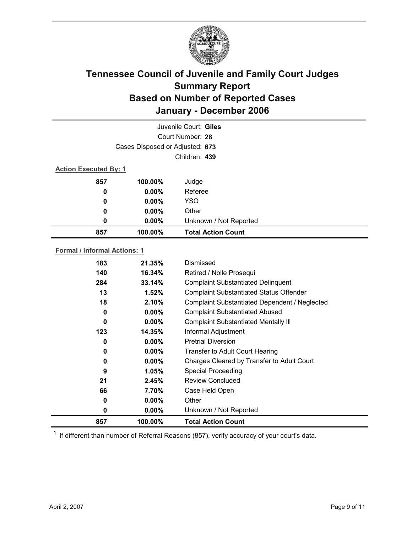

|                              |                                 | Juvenile Court: Giles     |
|------------------------------|---------------------------------|---------------------------|
|                              |                                 | Court Number: 28          |
|                              | Cases Disposed or Adjusted: 673 |                           |
|                              |                                 | Children: 439             |
| <b>Action Executed By: 1</b> |                                 |                           |
| 857                          | 100.00%                         | Judge                     |
| 0                            | $0.00\%$                        | Referee                   |
| 0                            | $0.00\%$                        | <b>YSO</b>                |
| 0                            | $0.00\%$                        | Other                     |
| 0                            | 0.00%                           | Unknown / Not Reported    |
| 857                          | 100.00%                         | <b>Total Action Count</b> |
|                              |                                 |                           |

#### **Formal / Informal Actions: 1**

| 857 | 100.00%  | <b>Total Action Count</b>                      |
|-----|----------|------------------------------------------------|
| 0   | $0.00\%$ | Unknown / Not Reported                         |
| 0   | $0.00\%$ | Other                                          |
| 66  | 7.70%    | Case Held Open                                 |
| 21  | 2.45%    | <b>Review Concluded</b>                        |
| 9   | 1.05%    | <b>Special Proceeding</b>                      |
| 0   | $0.00\%$ | Charges Cleared by Transfer to Adult Court     |
| 0   | $0.00\%$ | <b>Transfer to Adult Court Hearing</b>         |
| 0   | $0.00\%$ | <b>Pretrial Diversion</b>                      |
| 123 | 14.35%   | Informal Adjustment                            |
| 0   | $0.00\%$ | <b>Complaint Substantiated Mentally III</b>    |
| 0   | $0.00\%$ | <b>Complaint Substantiated Abused</b>          |
| 18  | 2.10%    | Complaint Substantiated Dependent / Neglected  |
| 13  | 1.52%    | <b>Complaint Substantiated Status Offender</b> |
| 284 | 33.14%   | <b>Complaint Substantiated Delinquent</b>      |
| 140 | 16.34%   | Retired / Nolle Prosequi                       |
| 183 | 21.35%   | Dismissed                                      |
|     |          |                                                |

 $1$  If different than number of Referral Reasons (857), verify accuracy of your court's data.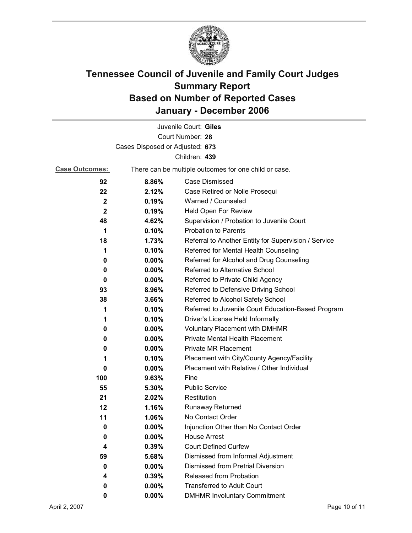

|                                 |                                                       | Juvenile Court: Giles                                |  |  |
|---------------------------------|-------------------------------------------------------|------------------------------------------------------|--|--|
|                                 |                                                       | Court Number: 28                                     |  |  |
| Cases Disposed or Adjusted: 673 |                                                       |                                                      |  |  |
|                                 |                                                       | Children: 439                                        |  |  |
| <b>Case Outcomes:</b>           | There can be multiple outcomes for one child or case. |                                                      |  |  |
| 92                              | 8.86%                                                 | <b>Case Dismissed</b>                                |  |  |
| 22                              | 2.12%                                                 | Case Retired or Nolle Prosequi                       |  |  |
| $\mathbf{2}$                    | 0.19%                                                 | Warned / Counseled                                   |  |  |
| $\mathbf{2}$                    | 0.19%                                                 | Held Open For Review                                 |  |  |
| 48                              | 4.62%                                                 | Supervision / Probation to Juvenile Court            |  |  |
| 1                               | 0.10%                                                 | <b>Probation to Parents</b>                          |  |  |
| 18                              | 1.73%                                                 | Referral to Another Entity for Supervision / Service |  |  |
| 1                               | 0.10%                                                 | Referred for Mental Health Counseling                |  |  |
| 0                               | 0.00%                                                 | Referred for Alcohol and Drug Counseling             |  |  |
| 0                               | 0.00%                                                 | Referred to Alternative School                       |  |  |
| 0                               | $0.00\%$                                              | Referred to Private Child Agency                     |  |  |
| 93                              | 8.96%                                                 | Referred to Defensive Driving School                 |  |  |
| 38                              | 3.66%                                                 | Referred to Alcohol Safety School                    |  |  |
| 1                               | 0.10%                                                 | Referred to Juvenile Court Education-Based Program   |  |  |
| 1                               | 0.10%                                                 | Driver's License Held Informally                     |  |  |
| 0                               | $0.00\%$                                              | <b>Voluntary Placement with DMHMR</b>                |  |  |
| 0                               | 0.00%                                                 | <b>Private Mental Health Placement</b>               |  |  |
| 0                               | $0.00\%$                                              | <b>Private MR Placement</b>                          |  |  |
| 1                               | 0.10%                                                 | Placement with City/County Agency/Facility           |  |  |
| 0                               | $0.00\%$                                              | Placement with Relative / Other Individual           |  |  |
| 100                             | 9.63%                                                 | Fine                                                 |  |  |
| 55                              | 5.30%                                                 | <b>Public Service</b>                                |  |  |
| 21                              | 2.02%                                                 | Restitution                                          |  |  |
| 12                              | 1.16%                                                 | Runaway Returned                                     |  |  |
| 11                              | 1.06%                                                 | No Contact Order                                     |  |  |
| 0                               | 0.00%                                                 | Injunction Other than No Contact Order               |  |  |
| 0                               | $0.00\%$                                              | <b>House Arrest</b>                                  |  |  |
| 4                               | 0.39%                                                 | <b>Court Defined Curfew</b>                          |  |  |
| 59                              | 5.68%                                                 | Dismissed from Informal Adjustment                   |  |  |
| 0                               | $0.00\%$                                              | <b>Dismissed from Pretrial Diversion</b>             |  |  |
| 4                               | 0.39%                                                 | Released from Probation                              |  |  |
| 0                               | $0.00\%$                                              | <b>Transferred to Adult Court</b>                    |  |  |
| 0                               | $0.00\%$                                              | <b>DMHMR Involuntary Commitment</b>                  |  |  |